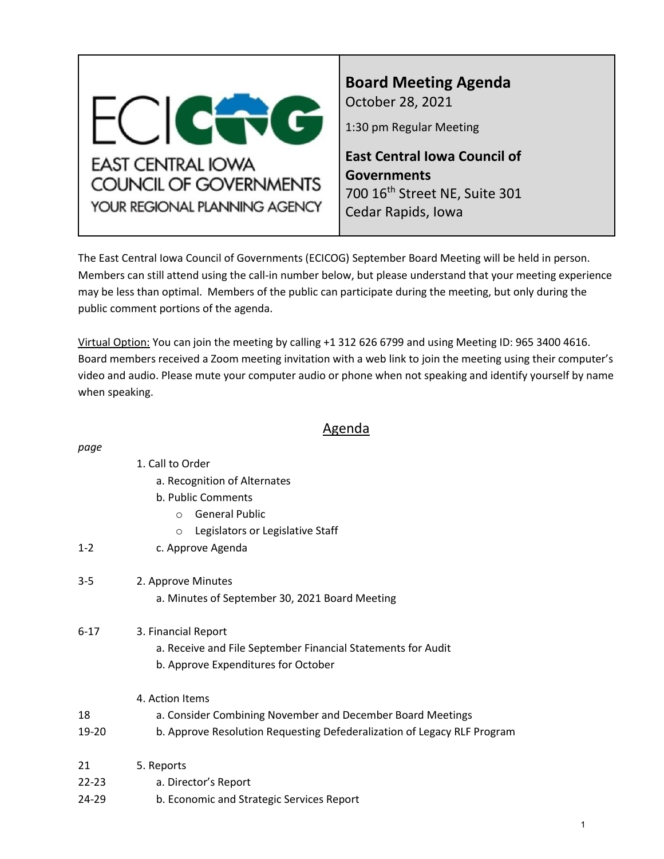<span id="page-0-0"></span>

*page*

**Board Meeting Agenda** October 28, 2021

1:30 pm Regular Meeting

**East Central Iowa Council of Governments** 700 16th Street NE, Suite 301 Cedar Rapids, Iowa

The East Central Iowa Council of Governments (ECICOG) September Board Meeting will be held in person. Members can still attend using the call-in number below, but please understand that your meeting experience may be less than optimal. Members of the public can participate during the meeting, but only during the public comment portions of the agenda.

Virtual Option: You can join the meeting by calling +1 312 626 6799 and using Meeting ID: 965 3400 4616. Board members received a Zoom meeting invitation with a web link to join the meeting using their computer's video and audio. Please mute your computer audio or phone when not speaking and identify yourself by name when speaking.

# Agenda

| puyc      |                                                                         |
|-----------|-------------------------------------------------------------------------|
|           | 1. Call to Order                                                        |
|           | a. Recognition of Alternates                                            |
|           | b. Public Comments                                                      |
|           | <b>General Public</b><br>$\circ$                                        |
|           | Legislators or Legislative Staff<br>$\circ$                             |
| $1 - 2$   | c. Approve Agenda                                                       |
| $3 - 5$   | 2. Approve Minutes                                                      |
|           | a. Minutes of September 30, 2021 Board Meeting                          |
| $6 - 17$  | 3. Financial Report                                                     |
|           | a. Receive and File September Financial Statements for Audit            |
|           | b. Approve Expenditures for October                                     |
|           | 4. Action Items                                                         |
| 18        | a. Consider Combining November and December Board Meetings              |
| 19-20     | b. Approve Resolution Requesting Defederalization of Legacy RLF Program |
| 21        | 5. Reports                                                              |
| $22 - 23$ | a. Director's Report                                                    |
| 24-29     | b. Economic and Strategic Services Report                               |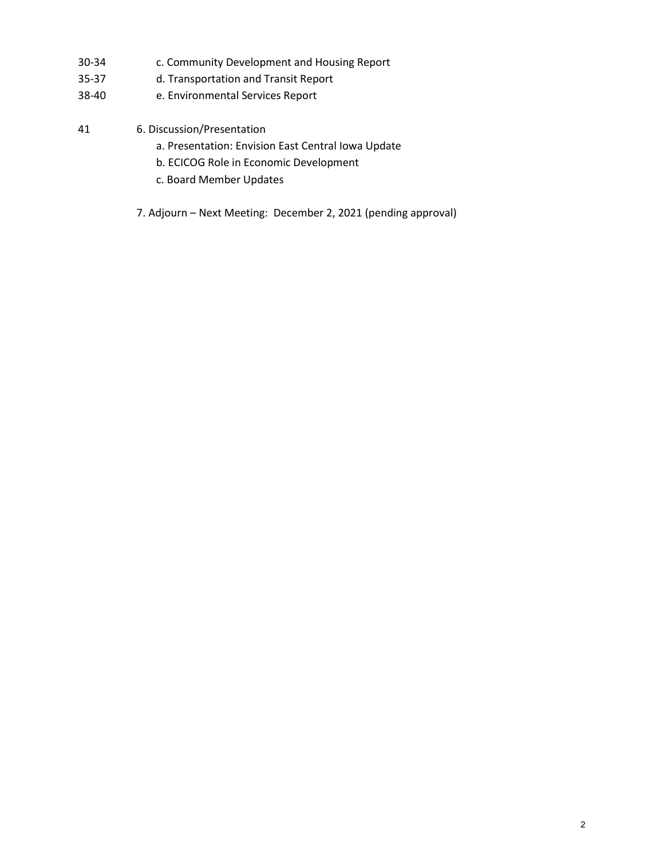- 30-34 c. Community Development and Housing Report
- 35-37 d. Transportation and Transit Report
- 38-40 e. Environmental Services Report
- 41 6. Discussion/Presentation
	- a. Presentation: Envision East Central Iowa Update
	- b. ECICOG Role in Economic Development
	- c. Board Member Updates
	- 7. Adjourn Next Meeting: December 2, 2021 (pending approval)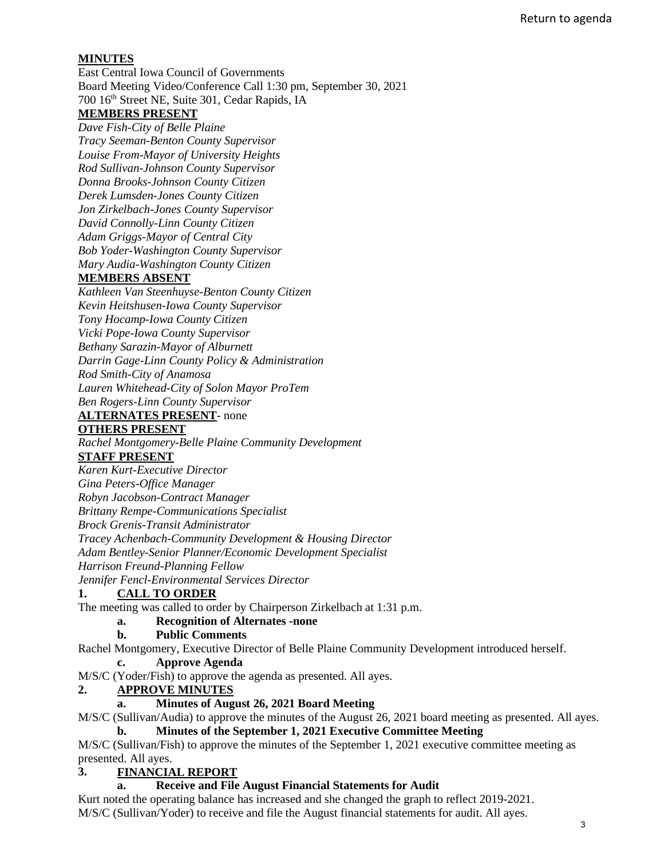## **MINUTES**

East Central Iowa Council of Governments Board Meeting Video/Conference Call 1:30 pm, September 30, 2021 700 16th Street NE, Suite 301, Cedar Rapids, IA

# **MEMBERS PRESENT**

*Dave Fish-City of Belle Plaine Tracy Seeman-Benton County Supervisor Louise From-Mayor of University Heights Rod Sullivan-Johnson County Supervisor Donna Brooks-Johnson County Citizen Derek Lumsden-Jones County Citizen Jon Zirkelbach-Jones County Supervisor David Connolly-Linn County Citizen Adam Griggs-Mayor of Central City Bob Yoder-Washington County Supervisor Mary Audia-Washington County Citizen* 

### **MEMBERS ABSENT**

*Kathleen Van Steenhuyse-Benton County Citizen Kevin Heitshusen-Iowa County Supervisor Tony Hocamp-Iowa County Citizen Vicki Pope-Iowa County Supervisor Bethany Sarazin-Mayor of Alburnett Darrin Gage-Linn County Policy & Administration Rod Smith-City of Anamosa Lauren Whitehead-City of Solon Mayor ProTem Ben Rogers-Linn County Supervisor* 

### **ALTERNATES PRESENT**- none

#### **OTHERS PRESENT**

*Rachel Montgomery-Belle Plaine Community Development*

#### **STAFF PRESENT**

*Karen Kurt-Executive Director*

*Gina Peters-Office Manager*

*Robyn Jacobson-Contract Manager*

*Brittany Rempe-Communications Specialist* 

*Brock Grenis-Transit Administrator* 

*Tracey Achenbach-Community Development & Housing Director* 

*Adam Bentley-Senior Planner/Economic Development Specialist* 

*Harrison Freund-Planning Fellow*

*Jennifer Fencl-Environmental Services Director*

#### **1. CALL TO ORDER**

The meeting was called to order by Chairperson Zirkelbach at 1:31 p.m.

## **a. Recognition of Alternates -none**

#### **b. Public Comments**

Rachel Montgomery, Executive Director of Belle Plaine Community Development introduced herself.

#### **c. Approve Agenda**

M/S/C (Yoder/Fish) to approve the agenda as presented. All ayes.

## **2. APPROVE MINUTES**

**a. Minutes of August 26, 2021 Board Meeting**

M/S/C (Sullivan/Audia) to approve the minutes of the August 26, 2021 board meeting as presented. All ayes. **b. Minutes of the September 1, 2021 Executive Committee Meeting**

M/S/C (Sullivan/Fish) to approve the minutes of the September 1, 2021 executive committee meeting as presented. All ayes.

## **3. FINANCIAL REPORT**

#### **a. Receive and File August Financial Statements for Audit**

Kurt noted the operating balance has increased and she changed the graph to reflect 2019-2021. M/S/C (Sullivan/Yoder) to receive and file the August financial statements for audit. All ayes.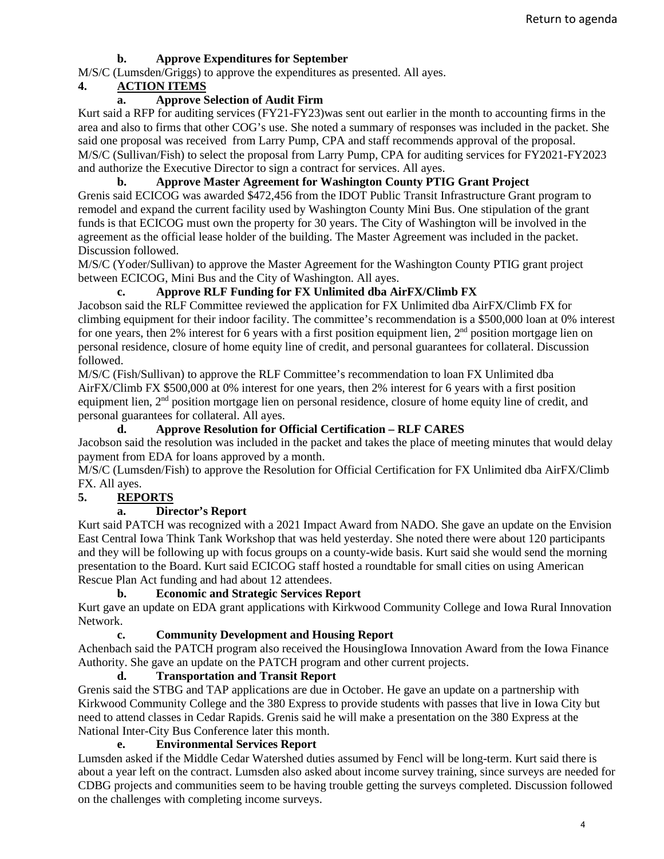## **b. Approve Expenditures for September**

M/S/C (Lumsden/Griggs) to approve the expenditures as presented. All ayes.

## **4. ACTION ITEMS**

## **a. Approve Selection of Audit Firm**

Kurt said a RFP for auditing services (FY21-FY23)was sent out earlier in the month to accounting firms in the area and also to firms that other COG's use. She noted a summary of responses was included in the packet. She said one proposal was received from Larry Pump, CPA and staff recommends approval of the proposal. M/S/C (Sullivan/Fish) to select the proposal from Larry Pump, CPA for auditing services for FY2021-FY2023 and authorize the Executive Director to sign a contract for services. All ayes.

## **b. Approve Master Agreement for Washington County PTIG Grant Project**

Grenis said ECICOG was awarded \$472,456 from the IDOT Public Transit Infrastructure Grant program to remodel and expand the current facility used by Washington County Mini Bus. One stipulation of the grant funds is that ECICOG must own the property for 30 years. The City of Washington will be involved in the agreement as the official lease holder of the building. The Master Agreement was included in the packet. Discussion followed.

M/S/C (Yoder/Sullivan) to approve the Master Agreement for the Washington County PTIG grant project between ECICOG, Mini Bus and the City of Washington. All ayes.

## **c. Approve RLF Funding for FX Unlimited dba AirFX/Climb FX**

Jacobson said the RLF Committee reviewed the application for FX Unlimited dba AirFX/Climb FX for climbing equipment for their indoor facility. The committee's recommendation is a \$500,000 loan at 0% interest for one years, then 2% interest for 6 years with a first position equipment lien, 2<sup>nd</sup> position mortgage lien on personal residence, closure of home equity line of credit, and personal guarantees for collateral. Discussion followed.

M/S/C (Fish/Sullivan) to approve the RLF Committee's recommendation to loan FX Unlimited dba AirFX/Climb FX \$500,000 at 0% interest for one years, then 2% interest for 6 years with a first position equipment lien, 2nd position mortgage lien on personal residence, closure of home equity line of credit, and personal guarantees for collateral. All ayes.

## **d. Approve Resolution for Official Certification – RLF CARES**

Jacobson said the resolution was included in the packet and takes the place of meeting minutes that would delay payment from EDA for loans approved by a month.

M/S/C (Lumsden/Fish) to approve the Resolution for Official Certification for FX Unlimited dba AirFX/Climb FX. All ayes.

## **5. REPORTS**

## **a. Director's Report**

Kurt said PATCH was recognized with a 2021 Impact Award from NADO. She gave an update on the Envision East Central Iowa Think Tank Workshop that was held yesterday. She noted there were about 120 participants and they will be following up with focus groups on a county-wide basis. Kurt said she would send the morning presentation to the Board. Kurt said ECICOG staff hosted a roundtable for small cities on using American Rescue Plan Act funding and had about 12 attendees.

## **b. Economic and Strategic Services Report**

Kurt gave an update on EDA grant applications with Kirkwood Community College and Iowa Rural Innovation Network.

## **c. Community Development and Housing Report**

Achenbach said the PATCH program also received the HousingIowa Innovation Award from the Iowa Finance Authority. She gave an update on the PATCH program and other current projects.

## **d. Transportation and Transit Report**

Grenis said the STBG and TAP applications are due in October. He gave an update on a partnership with Kirkwood Community College and the 380 Express to provide students with passes that live in Iowa City but need to attend classes in Cedar Rapids. Grenis said he will make a presentation on the 380 Express at the National Inter-City Bus Conference later this month.

## **e. Environmental Services Report**

Lumsden asked if the Middle Cedar Watershed duties assumed by Fencl will be long-term. Kurt said there is about a year left on the contract. Lumsden also asked about income survey training, since surveys are needed for CDBG projects and communities seem to be having trouble getting the surveys completed. Discussion followed on the challenges with completing income surveys.